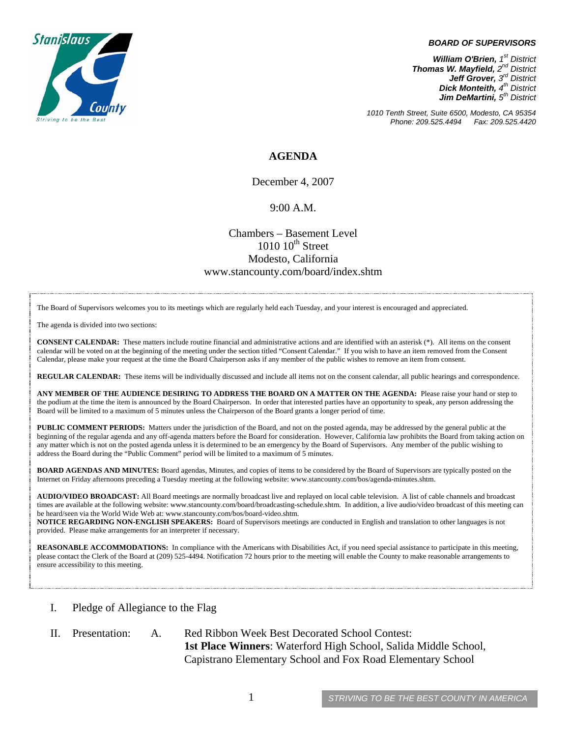

#### *BOARD OF SUPERVISORS*

*William O'Brien, 1st District Thomas W. Mayfield, 2nd District Jeff Grover, 3rd District Dick Monteith, 4th District Jim DeMartini, 5th District*

*1010 Tenth Street, Suite 6500, Modesto, CA 95354 Phone: 209.525.4494 Fax: 209.525.4420* 

## **AGENDA**

December 4, 2007

### 9:00 A.M.

## Chambers – Basement Level  $1010~10^{\text{th}}$  Street Modesto, California www.stancounty.com/board/index.shtm

The Board of Supervisors welcomes you to its meetings which are regularly held each Tuesday, and your interest is encouraged and appreciated.

The agenda is divided into two sections:

**CONSENT CALENDAR:** These matters include routine financial and administrative actions and are identified with an asterisk (\*). All items on the consent calendar will be voted on at the beginning of the meeting under the section titled "Consent Calendar." If you wish to have an item removed from the Consent Calendar, please make your request at the time the Board Chairperson asks if any member of the public wishes to remove an item from consent.

**REGULAR CALENDAR:** These items will be individually discussed and include all items not on the consent calendar, all public hearings and correspondence.

**ANY MEMBER OF THE AUDIENCE DESIRING TO ADDRESS THE BOARD ON A MATTER ON THE AGENDA:** Please raise your hand or step to the podium at the time the item is announced by the Board Chairperson. In order that interested parties have an opportunity to speak, any person addressing the Board will be limited to a maximum of 5 minutes unless the Chairperson of the Board grants a longer period of time.

**PUBLIC COMMENT PERIODS:** Matters under the jurisdiction of the Board, and not on the posted agenda, may be addressed by the general public at the beginning of the regular agenda and any off-agenda matters before the Board for consideration. However, California law prohibits the Board from taking action on any matter which is not on the posted agenda unless it is determined to be an emergency by the Board of Supervisors. Any member of the public wishing to address the Board during the "Public Comment" period will be limited to a maximum of 5 minutes.

**BOARD AGENDAS AND MINUTES:** Board agendas, Minutes, and copies of items to be considered by the Board of Supervisors are typically posted on the Internet on Friday afternoons preceding a Tuesday meeting at the following website: www.stancounty.com/bos/agenda-minutes.shtm.

**AUDIO/VIDEO BROADCAST:** All Board meetings are normally broadcast live and replayed on local cable television. A list of cable channels and broadcast times are available at the following website: www.stancounty.com/board/broadcasting-schedule.shtm. In addition, a live audio/video broadcast of this meeting can be heard/seen via the World Wide Web at: www.stancounty.com/bos/board-video.shtm.

**NOTICE REGARDING NON-ENGLISH SPEAKERS:** Board of Supervisors meetings are conducted in English and translation to other languages is not provided. Please make arrangements for an interpreter if necessary.

**REASONABLE ACCOMMODATIONS:** In compliance with the Americans with Disabilities Act, if you need special assistance to participate in this meeting, please contact the Clerk of the Board at (209) 525-4494. Notification 72 hours prior to the meeting will enable the County to make reasonable arrangements to ensure accessibility to this meeting.

- I. Pledge of Allegiance to the Flag
- II. Presentation: A. Red Ribbon Week Best Decorated School Contest: **1st Place Winners**: Waterford High School, Salida Middle School, Capistrano Elementary School and Fox Road Elementary School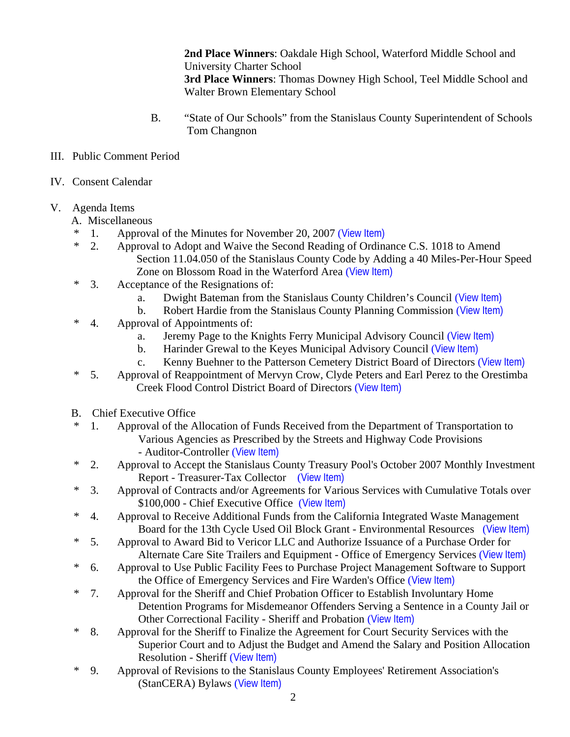**2nd Place Winners**: Oakdale High School, Waterford Middle School and University Charter School  **3rd Place Winners**: Thomas Downey High School, Teel Middle School and Walter Brown Elementary School

- B. "State of Our Schools" from the Stanislaus County Superintendent of Schools Tom Changnon
- III. Public Comment Period
- IV. Consent Calendar
- V. Agenda Items
	- A. Miscellaneous
	- \* 1. Approval of the Minutes for November 20, 2007 ([View Item\)](http://www.stancounty.com/bos/minutes/2007/min11-20-07.pdf)
	- \* 2. Approval to Adopt and Waive the Second Reading of Ordinance C.S. 1018 to Amend Section 11.04.050 of the Stanislaus County Code by Adding a 40 Miles-Per-Hour Speed Zone on Blossom Road in the Waterford Area ([View Item\)](http://www.stancounty.com/bos/agenda/2007/20071204/A02.pdf)
	- \* 3. Acceptance of the Resignations of:
		- a. Dwight Bateman from the Stanislaus County Children's Council ([View Item\)](http://www.stancounty.com/bos/agenda/2007/20071204/A03a.pdf)
		- b. Robert Hardie from the Stanislaus County Planning Commission ([View Item\)](http://www.stancounty.com/bos/agenda/2007/20071204/A03b.pdf)
	- \* 4. Approval of Appointments of:
		- a. Jeremy Page to the Knights Ferry Municipal Advisory Council ([View Item\)](http://www.stancounty.com/bos/agenda/2007/20071204/A04a.pdf)
		- b. Harinder Grewal to the Keyes Municipal Advisory Council ([View Item\)](http://www.stancounty.com/bos/agenda/2007/20071204/A04b.pdf)
		- c. Kenny Buehner to the Patterson Cemetery District Board of Directors ([View Item\)](http://www.stancounty.com/bos/agenda/2007/20071204/A04c.pdf)
	- \* 5. Approval of Reappointment of Mervyn Crow, Clyde Peters and Earl Perez to the Orestimba Creek Flood Control District Board of Directors ([View Item\)](http://www.stancounty.com/bos/agenda/2007/20071204/A05.pdf)
	- B. Chief Executive Office
	- \* 1. Approval of the Allocation of Funds Received from the Department of Transportation to Various Agencies as Prescribed by the Streets and Highway Code Provisions - Auditor-Controller ([View Item\)](http://www.stancounty.com/bos/agenda/2007/20071204/B01.pdf)
	- \* 2. Approval to Accept the Stanislaus County Treasury Pool's October 2007 Monthly Investment Report - Treasurer-Tax Collector ([View Item\)](http://www.stancounty.com/bos/agenda/2007/20071204/B02.pdf)
	- \* 3. Approval of Contracts and/or Agreements for Various Services with Cumulative Totals over \$100,000 - Chief Executive Office ([View Item\)](http://www.stancounty.com/bos/agenda/2007/20071204/B03.pdf)
	- \* 4. Approval to Receive Additional Funds from the California Integrated Waste Management Board for the 13th Cycle Used Oil Block Grant - Environmental Resources ([View Item\)](http://www.stancounty.com/bos/agenda/2007/20071204/B04.pdf)
	- \* 5. Approval to Award Bid to Vericor LLC and Authorize Issuance of a Purchase Order for Alternate Care Site Trailers and Equipment - Office of Emergency Services ([View Item\)](http://www.stancounty.com/bos/agenda/2007/20071204/B05.pdf)
	- \* 6. Approval to Use Public Facility Fees to Purchase Project Management Software to Support the Office of Emergency Services and Fire Warden's Office ([View Item\)](http://www.stancounty.com/bos/agenda/2007/20071204/B06.pdf)
	- \* 7. Approval for the Sheriff and Chief Probation Officer to Establish Involuntary Home Detention Programs for Misdemeanor Offenders Serving a Sentence in a County Jail or Other Correctional Facility - Sheriff and Probation ([View Item\)](http://www.stancounty.com/bos/agenda/2007/20071204/B07.pdf)
	- \* 8. Approval for the Sheriff to Finalize the Agreement for Court Security Services with the Superior Court and to Adjust the Budget and Amend the Salary and Position Allocation Resolution - Sheriff ([View Item\)](http://www.stancounty.com/bos/agenda/2007/20071204/B08.pdf)
	- \* 9. Approval of Revisions to the Stanislaus County Employees' Retirement Association's (StanCERA) Bylaws ([View Item\)](http://www.stancounty.com/bos/agenda/2007/20071204/B09.pdf)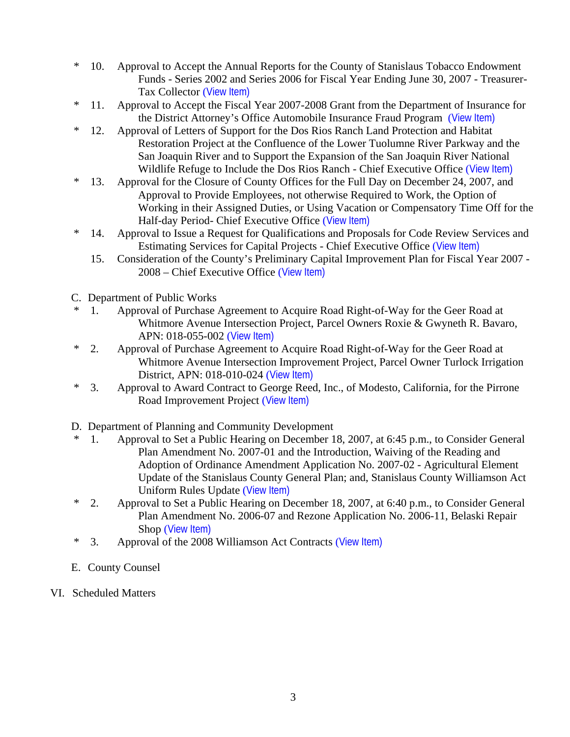- \* 10. Approval to Accept the Annual Reports for the County of Stanislaus Tobacco Endowment Funds - Series 2002 and Series 2006 for Fiscal Year Ending June 30, 2007 - Treasurer-Tax Collector ([View Item\)](http://www.stancounty.com/bos/agenda/2007/20071204/B10.pdf)
- \* 11. Approval to Accept the Fiscal Year 2007-2008 Grant from the Department of Insurance for the District Attorney's Office Automobile Insurance Fraud Program ([View Item\)](http://www.stancounty.com/bos/agenda/2007/20071204/B11.pdf)
- \* 12. Approval of Letters of Support for the Dos Rios Ranch Land Protection and Habitat Restoration Project at the Confluence of the Lower Tuolumne River Parkway and the San Joaquin River and to Support the Expansion of the San Joaquin River National Wildlife Refuge to Include the Dos Rios Ranch - Chief Executive Office ([View Item\)](http://www.stancounty.com/bos/agenda/2007/20071204/B12.pdf)
- \* 13. Approval for the Closure of County Offices for the Full Day on December 24, 2007, and Approval to Provide Employees, not otherwise Required to Work, the Option of Working in their Assigned Duties, or Using Vacation or Compensatory Time Off for the Half-day Period- Chief Executive Office ([View Item\)](http://www.stancounty.com/bos/agenda/2007/20071204/B13.pdf)
- \* 14. Approval to Issue a Request for Qualifications and Proposals for Code Review Services and Estimating Services for Capital Projects - Chief Executive Office ([View Item\)](http://www.stancounty.com/bos/agenda/2007/20071204/B14.pdf)
	- 15. Consideration of the County's Preliminary Capital Improvement Plan for Fiscal Year 2007 2008 – Chief Executive Office ([View Item\)](http://www.stancounty.com/bos/agenda/2007/20071204/B15.pdf)
- C. Department of Public Works
- 1. Approval of Purchase Agreement to Acquire Road Right-of-Way for the Geer Road at Whitmore Avenue Intersection Project, Parcel Owners Roxie & Gwyneth R. Bavaro, APN: 018-055-002 ([View Item\)](http://www.stancounty.com/bos/agenda/2007/20071204/C01.pdf)
- \* 2. Approval of Purchase Agreement to Acquire Road Right-of-Way for the Geer Road at Whitmore Avenue Intersection Improvement Project, Parcel Owner Turlock Irrigation District, APN: 018-010-024 ([View Item\)](http://www.stancounty.com/bos/agenda/2007/20071204/C02.pdf)
- \* 3. Approval to Award Contract to George Reed, Inc., of Modesto, California, for the Pirrone Road Improvement Project ([View Item\)](http://www.stancounty.com/bos/agenda/2007/20071204/C03.pdf)
- D. Department of Planning and Community Development
- \* 1. Approval to Set a Public Hearing on December 18, 2007, at 6:45 p.m., to Consider General Plan Amendment No. 2007-01 and the Introduction, Waiving of the Reading and Adoption of Ordinance Amendment Application No. 2007-02 - Agricultural Element Update of the Stanislaus County General Plan; and, Stanislaus County Williamson Act Uniform Rules Update ([View Item\)](http://www.stancounty.com/bos/agenda/2007/20071204/D01.pdf)
- \* 2. Approval to Set a Public Hearing on December 18, 2007, at 6:40 p.m., to Consider General Plan Amendment No. 2006-07 and Rezone Application No. 2006-11, Belaski Repair Shop ([View Item\)](http://www.stancounty.com/bos/agenda/2007/20071204/D02.pdf)
- \* 3. Approval of the 2008 Williamson Act Contracts ([View Item\)](http://www.stancounty.com/bos/agenda/2007/20071204/D03.pdf)
- E. County Counsel
- VI. Scheduled Matters